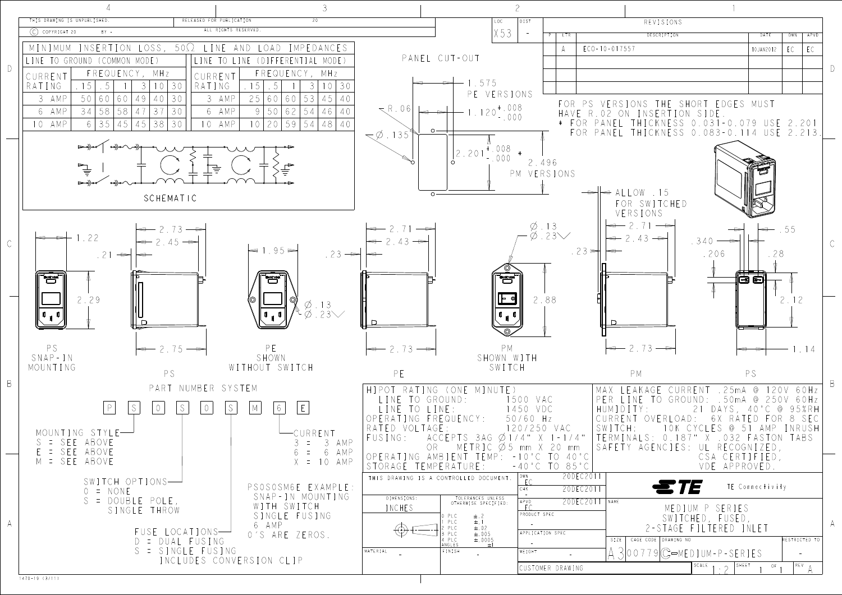